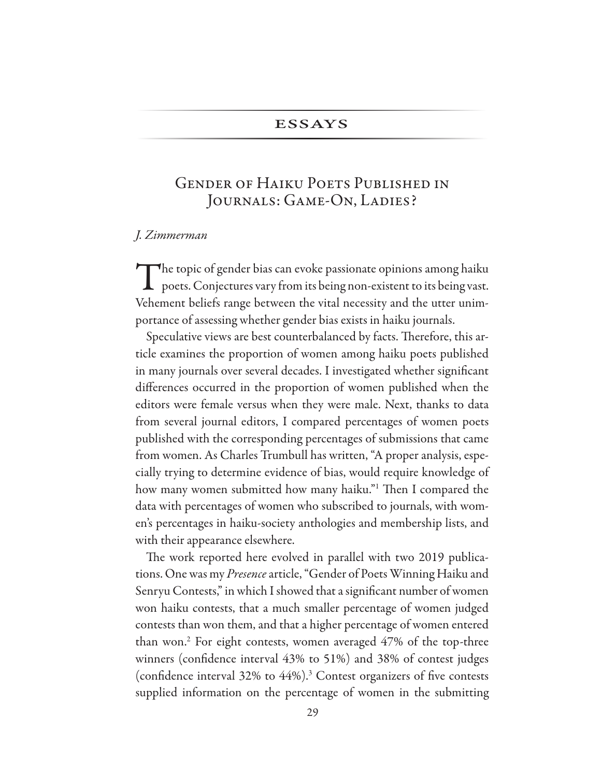### **ESSAYS**

# **GENDER OF HAIKU POETS PUBLISHED IN** JOURNALS: GAME-ON, LADIES?

#### J. Zimmerman

The topic of gender bias can evoke passionate opinions among haiku<br>poets. Conjectures vary from its being non-existent to its being vast. Vehement beliefs range between the vital necessity and the utter unimportance of assessing whether gender bias exists in haiku journals.

Speculative views are best counterbalanced by facts. Therefore, this article examines the proportion of women among haiku poets published in many journals over several decades. I investigated whether significant differences occurred in the proportion of women published when the editors were female versus when they were male. Next, thanks to data from several journal editors, I compared percentages of women poets published with the corresponding percentages of submissions that came from women. As Charles Trumbull has written, "A proper analysis, especially trying to determine evidence of bias, would require knowledge of how many women submitted how many haiku." Then I compared the data with percentages of women who subscribed to journals, with women's percentages in haiku-society anthologies and membership lists, and with their appearance elsewhere.

The work reported here evolved in parallel with two 2019 publications. One was my Presence article, "Gender of Poets Winning Haiku and Senryu Contests," in which I showed that a significant number of women won haiku contests, that a much smaller percentage of women judged contests than won them, and that a higher percentage of women entered than won.<sup>2</sup> For eight contests, women averaged 47% of the top-three winners (confidence interval 43% to 51%) and 38% of contest judges (confidence interval  $32\%$  to  $44\%$ ).<sup>3</sup> Contest organizers of five contests supplied information on the percentage of women in the submitting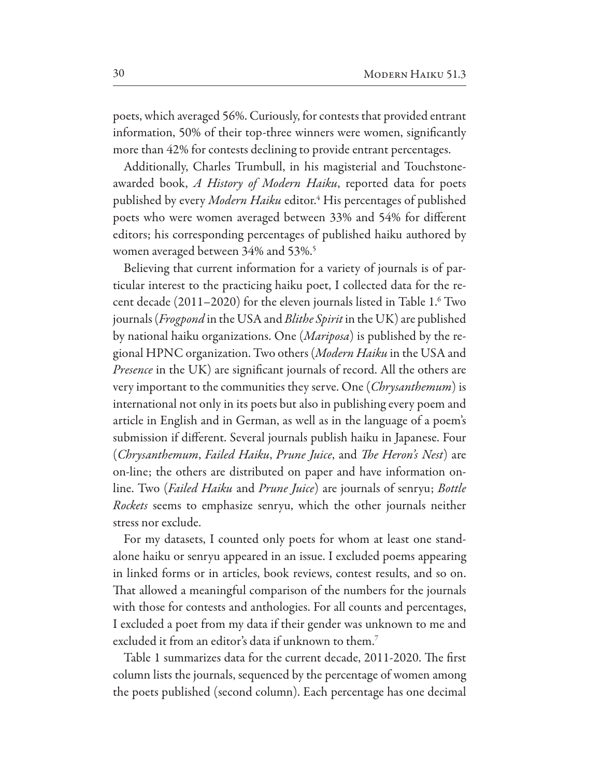poets, which averaged 56%. Curiously, for contests that provided entrant information, 50% of their top-three winners were women, significantly more than 42% for contests declining to provide entrant percentages.

Additionally, Charles Trumbull, in his magisterial and Touchstoneawarded book, A History of Modern Haiku, reported data for poets published by every Modern Haiku editor.<sup>4</sup> His percentages of published poets who were women averaged between 33% and 54% for different editors; his corresponding percentages of published haiku authored by women averaged between 34% and 53%.<sup>5</sup>

Believing that current information for a variety of journals is of particular interest to the practicing haiku poet, I collected data for the recent decade  $(2011-2020)$  for the eleven journals listed in Table 1.<sup>6</sup> Two journals (*Frogpond* in the USA and *Blithe Spirit* in the UK) are published by national haiku organizations. One (*Mariposa*) is published by the regional HPNC organization. Two others (Modern Haiku in the USA and *Presence* in the UK) are significant journals of record. All the others are very important to the communities they serve. One (*Chrysanthemum*) is international not only in its poets but also in publishing every poem and article in English and in German, as well as in the language of a poem's submission if different. Several journals publish haiku in Japanese. Four (Chrysanthemum, Failed Haiku, Prune Juice, and The Heron's Nest) are on-line; the others are distributed on paper and have information online. Two (Failed Haiku and Prune Juice) are journals of senryu; Bottle *Rockets* seems to emphasize senryu, which the other journals neither stress nor exclude.

For my datasets, I counted only poets for whom at least one standalone haiku or senryu appeared in an issue. I excluded poems appearing in linked forms or in articles, book reviews, contest results, and so on. That allowed a meaningful comparison of the numbers for the journals with those for contests and anthologies. For all counts and percentages, I excluded a poet from my data if their gender was unknown to me and excluded it from an editor's data if unknown to them.<sup>7</sup>

Table 1 summarizes data for the current decade, 2011-2020. The first column lists the journals, sequenced by the percentage of women among the poets published (second column). Each percentage has one decimal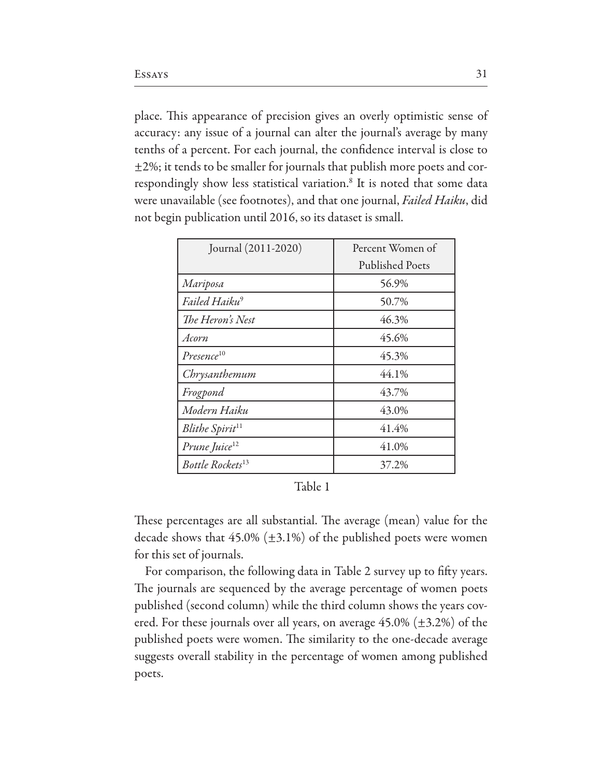place. This appearance of precision gives an overly optimistic sense of accuracy: any issue of a journal can alter the journal's average by many tenths of a percent. For each journal, the confidence interval is close to  $\pm$ 2%; it tends to be smaller for journals that publish more poets and correspondingly show less statistical variation.<sup>8</sup> It is noted that some data were unavailable (see footnotes), and that one journal, Failed Haiku, did not begin publication until 2016, so its dataset is small.

| Journal (2011-2020)          | Percent Women of       |  |
|------------------------------|------------------------|--|
|                              | <b>Published Poets</b> |  |
| Mariposa                     | 56.9%                  |  |
| Failed Haiku <sup>9</sup>    | 50.7%                  |  |
| The Heron's Nest             | 46.3%                  |  |
| Acorn                        | 45.6%                  |  |
| Presence <sup>10</sup>       | 45.3%                  |  |
| Chrysanthemum                | 44.1%                  |  |
| Frogpond                     | 43.7%                  |  |
| Modern Haiku                 | 43.0%                  |  |
| Blithe Spirit <sup>11</sup>  | 41.4%                  |  |
| Prune Juice <sup>12</sup>    | 41.0%                  |  |
| Bottle Rockets <sup>13</sup> | 37.2%                  |  |

#### Table 1

These percentages are all substantial. The average (mean) value for the decade shows that  $45.0\%$  ( $\pm 3.1\%$ ) of the published poets were women for this set of journals.

For comparison, the following data in Table 2 survey up to fifty years. The journals are sequenced by the average percentage of women poets published (second column) while the third column shows the years covered. For these journals over all years, on average  $45.0\%$  ( $\pm 3.2\%$ ) of the published poets were women. The similarity to the one-decade average suggests overall stability in the percentage of women among published poets.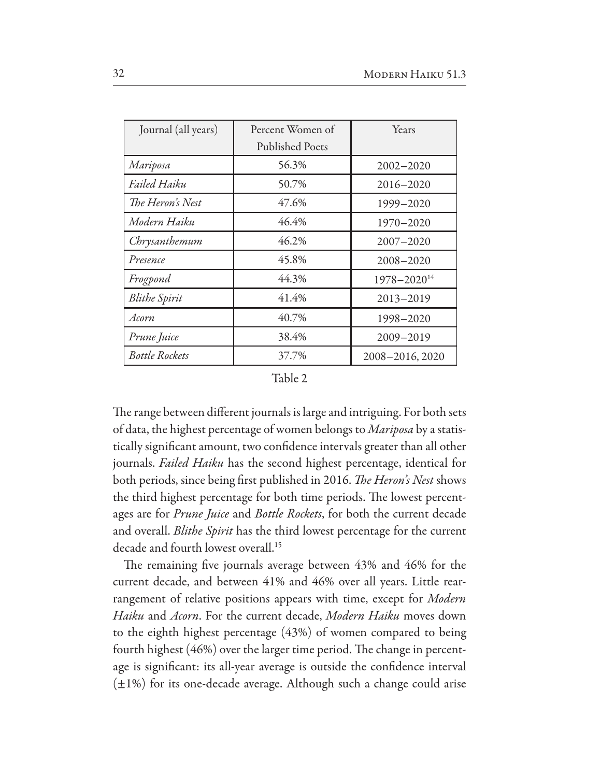| Journal (all years)   | Percent Women of       | Years              |
|-----------------------|------------------------|--------------------|
|                       | <b>Published Poets</b> |                    |
| Mariposa              | 56.3%                  | $2002 - 2020$      |
| Failed Haiku          | 50.7%                  | 2016-2020          |
| The Heron's Nest      | 47.6%                  | 1999-2020          |
| Modern Haiku          | 46.4%                  | 1970-2020          |
| Chrysanthemum         | 46.2%                  | $2007 - 2020$      |
| Presence              | 45.8%                  | $2008 - 2020$      |
| Frogpond              | 44.3%                  | $1978 - 2020^{14}$ |
| <b>Blithe Spirit</b>  | 41.4%                  | $2013 - 2019$      |
| Acorn                 | 40.7%                  | 1998-2020          |
| Prune Juice           | 38.4%                  | 2009-2019          |
| <b>Bottle Rockets</b> | 37.7%                  | 2008-2016, 2020    |

The range between different journals is large and intriguing. For both sets of data, the highest percentage of women belongs to Mariposa by a statistically significant amount, two confidence intervals greater than all other journals. Failed Haiku has the second highest percentage, identical for both periods, since being first published in 2016. The Heron's Nest shows the third highest percentage for both time periods. The lowest percentages are for *Prune Juice* and *Bottle Rockets*, for both the current decade and overall. Blithe Spirit has the third lowest percentage for the current decade and fourth lowest overall.<sup>15</sup>

The remaining five journals average between 43% and 46% for the current decade, and between 41% and 46% over all years. Little rearrangement of relative positions appears with time, except for Modern Haiku and Acorn. For the current decade, Modern Haiku moves down to the eighth highest percentage (43%) of women compared to being fourth highest (46%) over the larger time period. The change in percentage is significant: its all-year average is outside the confidence interval  $(\pm 1\%)$  for its one-decade average. Although such a change could arise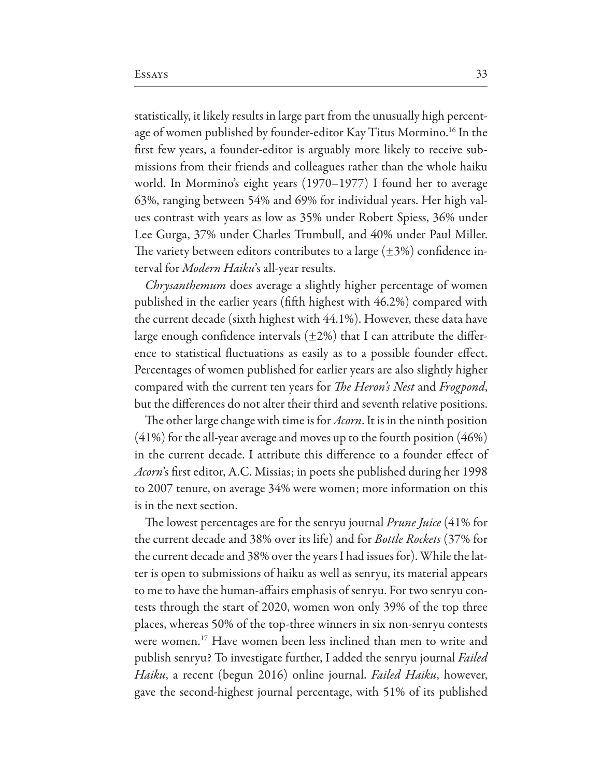statistically, it likely results in large part from the unusually high percentage of women published by founder-editor Kay Titus Mormino.<sup>16</sup> In the first few years, a founder-editor is arguably more likely to receive submissions from their friends and colleagues rather than the whole haiku world. In Mormino's eight years (1970–1977) I found her to average 63%, ranging between 54% and 69% for individual years. Her high values contrast with years as low as 35% under Robert Spiess, 36% under Lee Gurga, 37% under Charles Trumbull, and 40% under Paul Miller. The variety between editors contributes to a large  $(\pm 3\%)$  confidence interval for *Modern Haiku's* all-year results.

*Chrysanthemum* does average a slightly higher percentage of women published in the earlier years (fifth highest with 46.2%) compared with the current decade (sixth highest with 44.1%). However, these data have large enough confidence intervals  $(\pm 2\%)$  that I can attribute the difference to statistical fluctuations as easily as to a possible founder effect. Percentages of women published for earlier years are also slightly higher compared with the current ten years for *The Heron's Nest* and *Frogpond*, but the differences do not alter their third and seventh relative positions.

The other large change with time is for *Acorn*. It is in the ninth position  $(41%)$  for the all-year average and moves up to the fourth position  $(46%)$ in the current decade. I attribute this difference to a founder effect of Acorn's first editor, A.C. Missias; in poets she published during her 1998 to 2007 tenure, on average 34% were women; more information on this is in the next section.

The lowest percentages are for the senryu journal *Prune Juice* (41% for the current decade and 38% over its life) and for Bottle Rockets (37% for the current decade and 38% over the years I had issues for). While the latter is open to submissions of haiku as well as senryu, its material appears to me to have the human-affairs emphasis of senryu. For two senryu contests through the start of 2020, women won only 39% of the top three places, whereas 50% of the top-three winners in six non-senryu contests were women.<sup>17</sup> Have women been less inclined than men to write and publish senryu? To investigate further, I added the senryu journal Failed *Haiku*, a recent (begun 2016) online journal. *Failed Haiku*, however, gave the second-highest journal percentage, with 51% of its published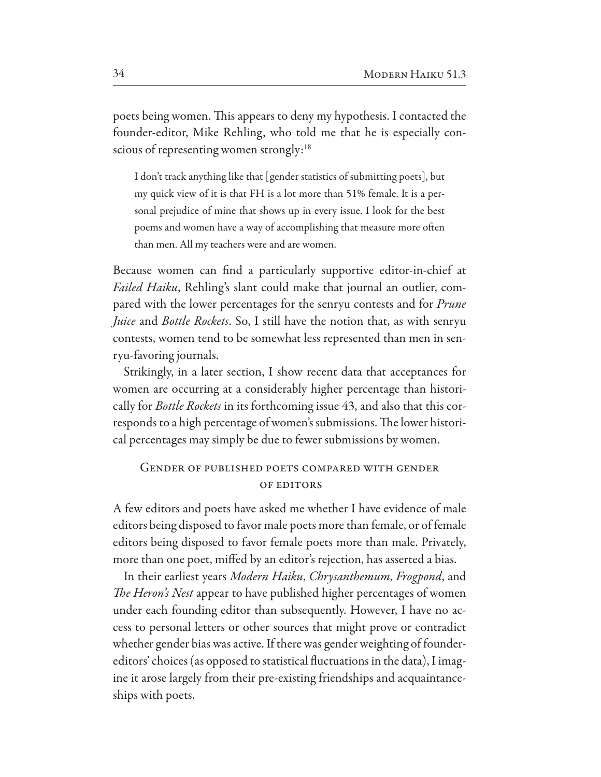poets being women. This appears to deny my hypothesis. I contacted the founder-editor, Mike Rehling, who told me that he is especially conscious of representing women strongly:<sup>18</sup>

I don't track anything like that [gender statistics of submitting poets], but my quick view of it is that FH is a lot more than 51% female. It is a personal prejudice of mine that shows up in every issue. I look for the best poems and women have a way of accomplishing that measure more often than men. All my teachers were and are women.

Because women can fnd a particularly supportive editor-in-chief at *Failed Haiku*, Rehling's slant could make that journal an outlier, compared with the lower percentages for the senryu contests and for *Prune Juice* and *Bottle Rockets*. So, I still have the notion that, as with senryu contests, women tend to be somewhat less represented than men in senryu-favoring journals.

Strikingly, in a later section, I show recent data that acceptances for women are occurring at a considerably higher percentage than historically for *Bottle Rockets* in its forthcoming issue 43, and also that this corresponds to a high percentage of women's submissions. The lower historical percentages may simply be due to fewer submissions by women.

### Gender of published poets compared with gender OF EDITORS

A few editors and poets have asked me whether I have evidence of male editors being disposed to favor male poets more than female, or of female editors being disposed to favor female poets more than male. Privately, more than one poet, mifed by an editor's rejection, has asserted a bias.

In their earliest years *Modern Haiku*, *Chrysanthemum*, *Frogpond*, and T*e Heron's Nest* appear to have published higher percentages of women under each founding editor than subsequently. However, I have no access to personal letters or other sources that might prove or contradict whether gender bias was active. If there was gender weighting of foundereditors' choices (as opposed to statistical fluctuations in the data), I imagine it arose largely from their pre-existing friendships and acquaintanceships with poets.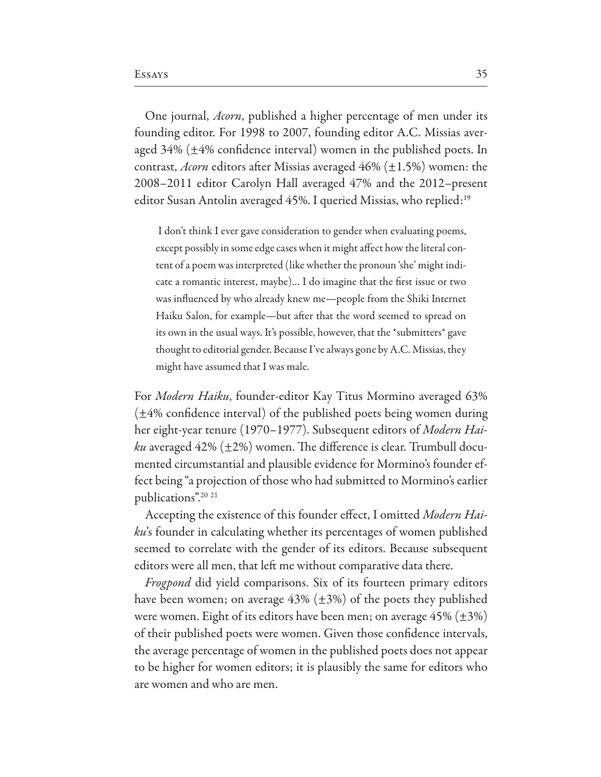One journal, *Acorn*, published a higher percentage of men under its founding editor. For 1998 to 2007, founding editor A.C. Missias averaged  $34\%$  ( $\pm 4\%$  confidence interval) women in the published poets. In contrast, *Acorn* editors after Missias averaged  $46\%$  ( $\pm 1.5\%$ ) women: the 2008–2011 editor Carolyn Hall averaged 47% and the 2012–present editor Susan Antolin averaged 45%. I queried Missias, who replied:<sup>19</sup>

I don't think I ever gave consideration to gender when evaluating poems, except possibly in some edge cases when it might affect how the literal content of a poem was interpreted (like whether the pronoun 'she' might indicate a romantic interest, maybe)... I do imagine that the first issue or two was influenced by who already knew me—people from the Shiki Internet Haiku Salon, for example—but after that the word seemed to spread on its own in the usual ways. It's possible, however, that the \*submitters\* gave thought to editorial gender. Because I've always gone by A.C. Missias, they might have assumed that I was male.

For Modern Haiku, founder-editor Kay Titus Mormino averaged 63%  $(\pm 4\%$  confidence interval) of the published poets being women during her eight-year tenure (1970–1977). Subsequent editors of Modern Hai*ku* averaged  $42\%$  ( $\pm 2\%$ ) women. The difference is clear. Trumbull documented circumstantial and plausible evidence for Mormino's founder effect being "a projection of those who had submitted to Mormino's earlier publications".<sup>20</sup><sup>21</sup>

Accepting the existence of this founder effect, I omitted Modern Haiku's founder in calculating whether its percentages of women published seemed to correlate with the gender of its editors. Because subsequent editors were all men, that left me without comparative data there.

*Frogpond* did yield comparisons. Six of its fourteen primary editors have been women; on average  $43\%$  ( $\pm 3\%$ ) of the poets they published were women. Eight of its editors have been men; on average  $45\%$  ( $\pm 3\%$ ) of their published poets were women. Given those confidence intervals, the average percentage of women in the published poets does not appear to be higher for women editors; it is plausibly the same for editors who are women and who are men.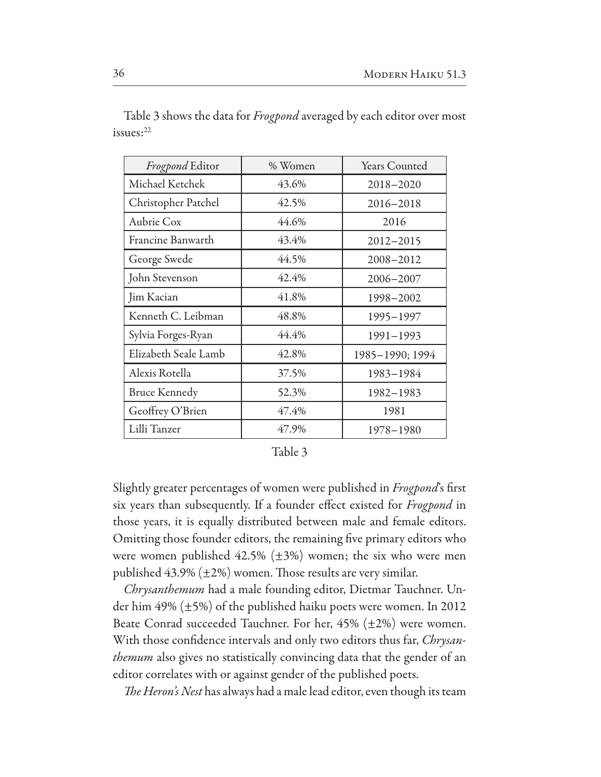| Frogpond Editor      | % Women | Years Counted   |
|----------------------|---------|-----------------|
| Michael Ketchek      | 43.6%   | 2018-2020       |
| Christopher Patchel  | 42.5%   | 2016-2018       |
| Aubrie Cox           | 44.6%   | 2016            |
| Francine Banwarth    | 43.4%   | 2012-2015       |
| George Swede         | 44.5%   | 2008-2012       |
| John Stevenson       | 42.4%   | 2006-2007       |
| Jim Kacian           | 41.8%   | 1998-2002       |
| Kenneth C. Leibman   | 48.8%   | 1995-1997       |
| Sylvia Forges-Ryan   | 44.4%   | 1991-1993       |
| Elizabeth Seale Lamb | 42.8%   | 1985-1990; 1994 |
| Alexis Rotella       | 37.5%   | 1983-1984       |
| <b>Bruce Kennedy</b> | 52.3%   | 1982-1983       |
| Geoffrey O'Brien     | 47.4%   | 1981            |
| Lilli Tanzer         | 47.9%   | 1978-1980       |

Table 3 shows the data for *Frogpond* averaged by each editor over most issues:22

Table 3

Slightly greater percentages of women were published in Frogpond's first six years than subsequently. If a founder effect existed for *Frogpond* in those years, it is equally distributed between male and female editors. Omitting those founder editors, the remaining five primary editors who were women published  $42.5\%$  ( $\pm 3\%$ ) women; the six who were men published  $43.9\%$  ( $\pm 2\%$ ) women. Those results are very similar.

Chrysanthemum had a male founding editor, Dietmar Tauchner. Under him 49%  $(\pm 5\%)$  of the published haiku poets were women. In 2012 Beate Conrad succeeded Tauchner. For her,  $45\%$  ( $\pm 2\%$ ) were women. With those confidence intervals and only two editors thus far, Chrysan*themum* also gives no statistically convincing data that the gender of an editor correlates with or against gender of the published poets.

*The Heron's Nest* has always had a male lead editor, even though its team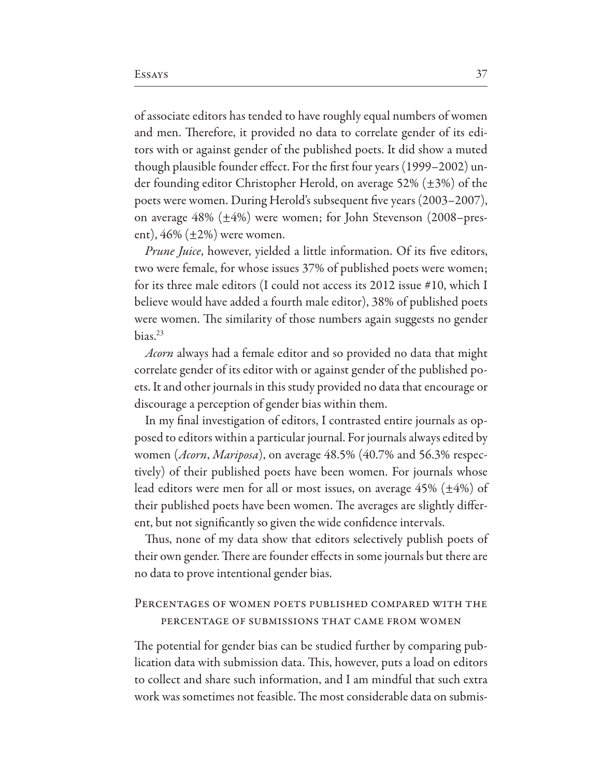of associate editors has tended to have roughly equal numbers of women and men. Therefore, it provided no data to correlate gender of its editors with or against gender of the published poets. It did show a muted though plausible founder effect. For the first four years (1999–2002) under founding editor Christopher Herold, on average 52% ( $\pm$ 3%) of the poets were women. During Herold's subsequent five years (2003-2007), on average  $48\%$  ( $\pm 4\%$ ) were women; for John Stevenson (2008–present),  $46\%$  ( $\pm 2\%$ ) were women.

*Prune Juice*, however, yielded a little information. Of its five editors, two were female, for whose issues 37% of published poets were women; for its three male editors (I could not access its 2012 issue #10, which I believe would have added a fourth male editor), 38% of published poets were women. The similarity of those numbers again suggests no gender  $bias.<sup>23</sup>$ 

Acorn always had a female editor and so provided no data that might correlate gender of its editor with or against gender of the published poets. It and other journals in this study provided no data that encourage or discourage a perception of gender bias within them.

In my final investigation of editors, I contrasted entire journals as opposed to editors within a particular journal. For journals always edited by women (Acorn, Mariposa), on average 48.5% (40.7% and 56.3% respectively) of their published poets have been women. For journals whose lead editors were men for all or most issues, on average  $45\%$  ( $\pm 4\%$ ) of their published poets have been women. The averages are slightly different, but not significantly so given the wide confidence intervals.

Thus, none of my data show that editors selectively publish poets of their own gender. There are founder effects in some journals but there are no data to prove intentional gender bias.

## PERCENTAGES OF WOMEN POETS PUBLISHED COMPARED WITH THE PERCENTAGE OF SUBMISSIONS THAT CAME FROM WOMEN

The potential for gender bias can be studied further by comparing publication data with submission data. This, however, puts a load on editors to collect and share such information, and I am mindful that such extra work was sometimes not feasible. The most considerable data on submis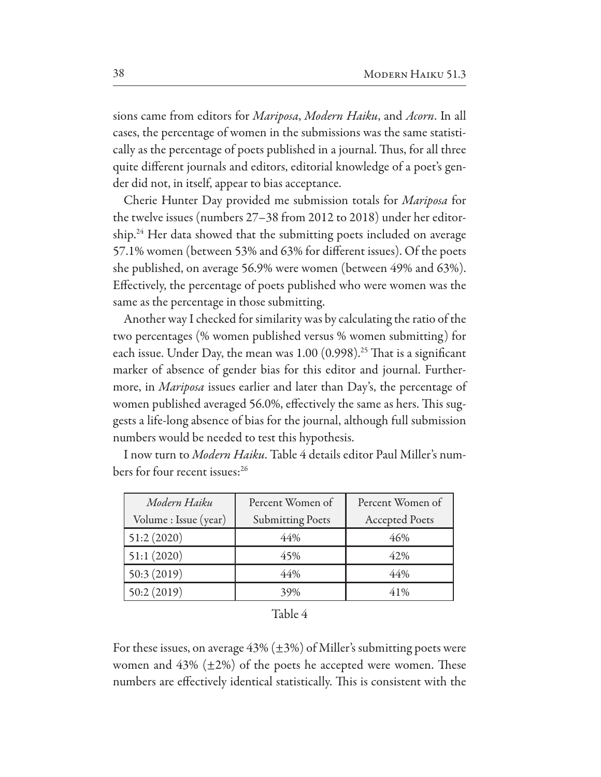sions came from editors for *Mariposa*, *Modern Haiku*, and *Acorn*. In all cases, the percentage of women in the submissions was the same statistically as the percentage of poets published in a journal. Thus, for all three quite diferent journals and editors, editorial knowledge of a poet's gender did not, in itself, appear to bias acceptance.

Cherie Hunter Day provided me submission totals for *Mariposa* for the twelve issues (numbers 27–38 from 2012 to 2018) under her editorship.<sup>24</sup> Her data showed that the submitting poets included on average 57.1% women (between 53% and 63% for different issues). Of the poets she published, on average 56.9% were women (between 49% and 63%). Efectively, the percentage of poets published who were women was the same as the percentage in those submitting.

Another way I checked for similarity was by calculating the ratio of the two percentages (% women published versus % women submitting) for each issue. Under Day, the mean was  $1.00$  (0.998).<sup>25</sup> That is a significant marker of absence of gender bias for this editor and journal. Furthermore, in *Mariposa* issues earlier and later than Day's, the percentage of women published averaged 56.0%, effectively the same as hers. This suggests a life-long absence of bias for the journal, although full submission numbers would be needed to test this hypothesis.

| Modern Haiku          | Percent Women of        | Percent Women of      |
|-----------------------|-------------------------|-----------------------|
| Volume : Issue (year) | <b>Submitting Poets</b> | <b>Accepted Poets</b> |
| 51:2(2020)            | 44%                     | 46%                   |
| 51:1(2020)            | 45%                     | 42%                   |
| 50:3(2019)            | 44%                     | 44%                   |
| 50:2(2019)            | 39%                     | 41%                   |

I now turn to *Modern Haiku*. Table 4 details editor Paul Miller's numbers for four recent issues:26

For these issues, on average  $43\%$  ( $\pm 3\%$ ) of Miller's submitting poets were women and  $43\%$  ( $\pm 2\%$ ) of the poets he accepted were women. These numbers are effectively identical statistically. This is consistent with the

Table 4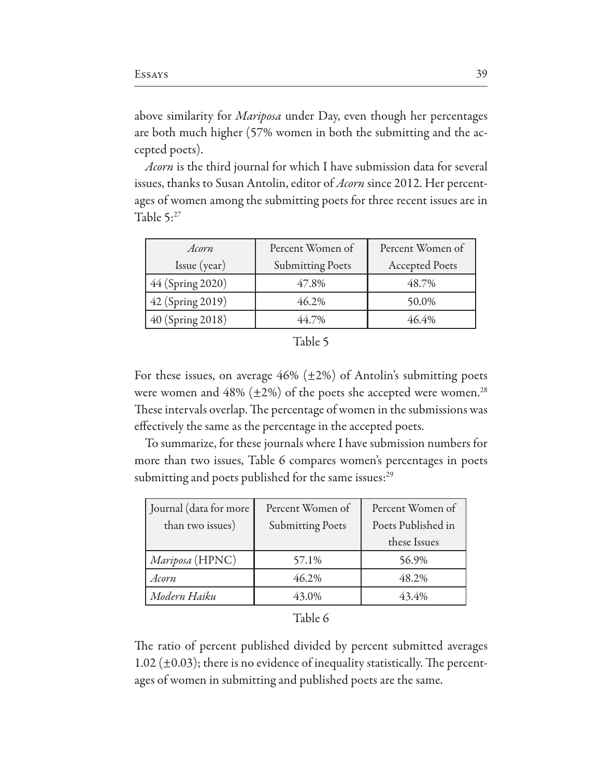above similarity for *Mariposa* under Day, even though her percentages are both much higher (57% women in both the submitting and the accepted poets).

*Acorn* is the third journal for which I have submission data for several issues, thanks to Susan Antolin, editor of *Acorn* since 2012. Her percentages of women among the submitting poets for three recent issues are in Table 5:27

| Acorn            | Percent Women of        | Percent Women of      |
|------------------|-------------------------|-----------------------|
| $I$ ssue (year)  | <b>Submitting Poets</b> | <b>Accepted Poets</b> |
| 44 (Spring 2020) | 47.8%                   | 48.7%                 |
| 42 (Spring 2019) | 46.2%                   | 50.0%                 |
| 40 (Spring 2018) | 44.7%                   | 46.4%                 |

For these issues, on average  $46\%$  ( $\pm 2\%$ ) of Antolin's submitting poets were women and  $48\%$  ( $\pm 2\%$ ) of the poets she accepted were women.<sup>28</sup> These intervals overlap. The percentage of women in the submissions was efectively the same as the percentage in the accepted poets.

To summarize, for these journals where I have submission numbers for more than two issues, Table 6 compares women's percentages in poets submitting and poets published for the same issues:<sup>29</sup>

| Journal (data for more | Percent Women of        | Percent Women of   |
|------------------------|-------------------------|--------------------|
| than two issues)       | <b>Submitting Poets</b> | Poets Published in |
|                        |                         | these Issues       |
| Mariposa (HPNC)        | 57.1%                   | 56.9%              |
| Acorn                  | 46.2%                   | 48.2%              |
| Modern Haiku           | 43.0%                   | 43.4%              |

| Table 6 |  |
|---------|--|
|---------|--|

The ratio of percent published divided by percent submitted averages 1.02 ( $\pm$ 0.03); there is no evidence of inequality statistically. The percentages of women in submitting and published poets are the same.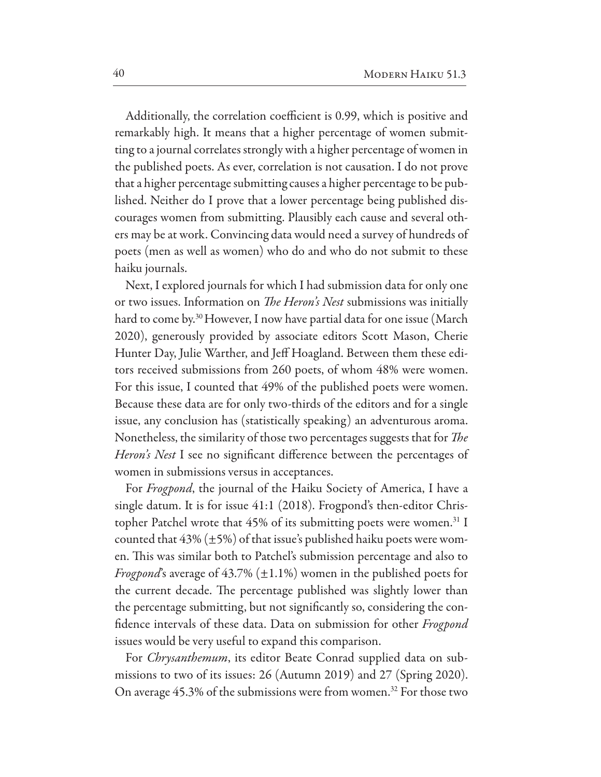Additionally, the correlation coefficient is 0.99, which is positive and remarkably high. It means that a higher percentage of women submitting to a journal correlates strongly with a higher percentage of women in the published poets. As ever, correlation is not causation. I do not prove that a higher percentage submitting causes a higher percentage to be published. Neither do I prove that a lower percentage being published discourages women from submitting. Plausibly each cause and several others may be at work. Convincing data would need a survey of hundreds of poets (men as well as women) who do and who do not submit to these haiku journals.

Next, I explored journals for which I had submission data for only one or two issues. Information on *The Heron's Nest* submissions was initially hard to come by.30 However, I now have partial data for one issue (March 2020), generously provided by associate editors Scott Mason, Cherie Hunter Day, Julie Warther, and Jeff Hoagland. Between them these editors received submissions from  $260$  poets, of whom  $48\%$  were women. For this issue, I counted that 49% of the published poets were women. Because these data are for only two-thirds of the editors and for a single issue, any conclusion has (statistically speaking) an adventurous aroma. Nonetheless, the similarity of those two percentages suggests that for T*e Heron's Nest* I see no signifcant diference between the percentages of women in submissions versus in acceptances.

For *Frogpond*, the journal of the Haiku Society of America, I have a single datum. It is for issue 41:1 (2018). Frogpond's then-editor Christopher Patchel wrote that  $45\%$  of its submitting poets were women.<sup>31</sup> I counted that  $43\%$  ( $\pm$ 5%) of that issue's published haiku poets were women. This was similar both to Patchel's submission percentage and also to *Frogpond*'s average of 43.7%  $(\pm 1.1\%)$  women in the published poets for the current decade. The percentage published was slightly lower than the percentage submitting, but not signifcantly so, considering the confdence intervals of these data. Data on submission for other *Frogpond* issues would be very useful to expand this comparison.

For *Chrysanthemum*, its editor Beate Conrad supplied data on submissions to two of its issues: 26 (Autumn 2019) and 27 (Spring 2020). On average  $45.3\%$  of the submissions were from women.<sup>32</sup> For those two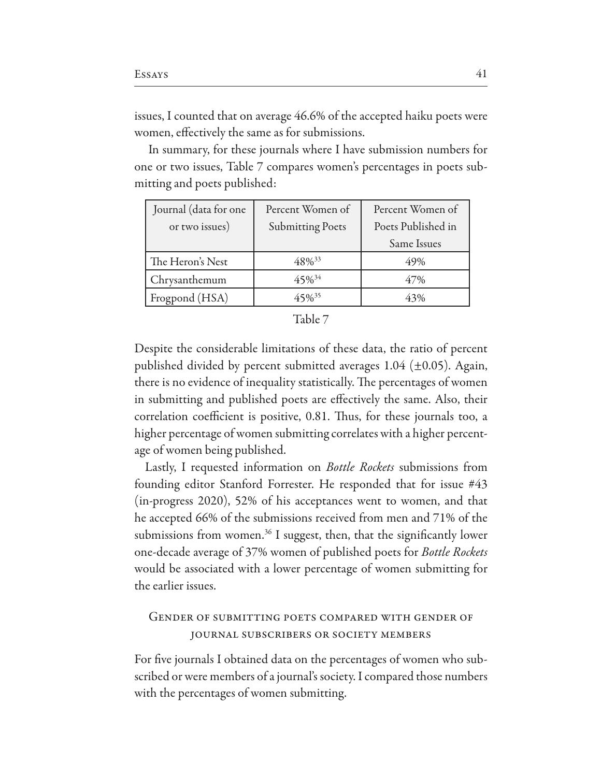issues, I counted that on average 46.6% of the accepted haiku poets were women, efectively the same as for submissions.

 In summary, for these journals where I have submission numbers for one or two issues, Table 7 compares women's percentages in poets submitting and poets published:

| Journal (data for one | Percent Women of        | Percent Women of   |  |
|-----------------------|-------------------------|--------------------|--|
| or two issues)        | <b>Submitting Poets</b> | Poets Published in |  |
|                       |                         | Same Issues        |  |
| The Heron's Nest      | 48% <sup>33</sup>       | 49%                |  |
| Chrysanthemum         | $45\%^{34}$             | 47%                |  |
| Frogpond (HSA)        | 45% <sup>35</sup>       | 43%                |  |

| ٠. | Đ<br>ı |  |
|----|--------|--|
|    |        |  |

Despite the considerable limitations of these data, the ratio of percent published divided by percent submitted averages  $1.04$  ( $\pm 0.05$ ). Again, there is no evidence of inequality statistically. The percentages of women in submitting and published poets are efectively the same. Also, their correlation coefficient is positive, 0.81. Thus, for these journals too, a higher percentage of women submitting correlates with a higher percentage of women being published.

Lastly, I requested information on *Bottle Rockets* submissions from founding editor Stanford Forrester. He responded that for issue  $#43$ (in-progress 2020), 52% of his acceptances went to women, and that he accepted 66% of the submissions received from men and 71% of the submissions from women.<sup>36</sup> I suggest, then, that the significantly lower one-decade average of 37% women of published poets for Bottle Rockets would be associated with a lower percentage of women submitting for the earlier issues.

## Gender of submitting poets compared with gender of journal subscribers or society members

For five journals I obtained data on the percentages of women who subscribed or were members of a journal's society. I compared those numbers with the percentages of women submitting.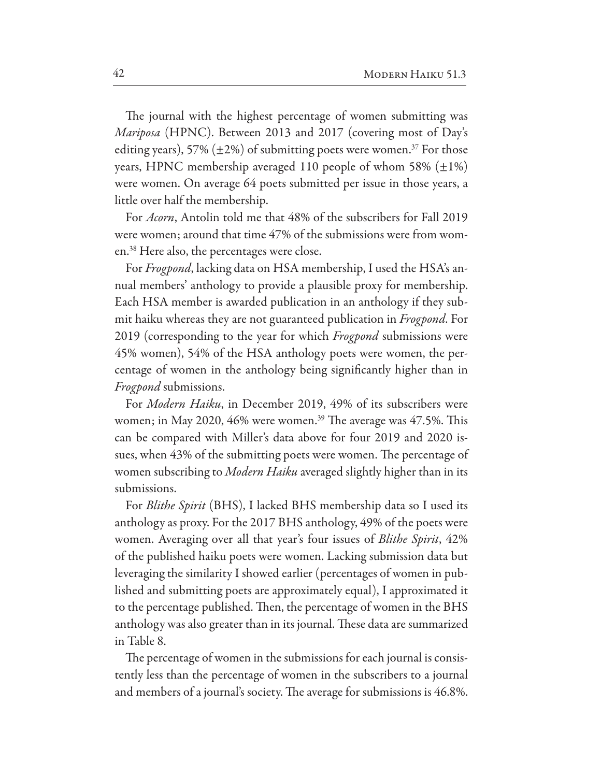The journal with the highest percentage of women submitting was *Mariposa* (HPNC). Between 2013 and 2017 (covering most of Day's editing years), 57% ( $\pm$ 2%) of submitting poets were women.<sup>37</sup> For those years, HPNC membership averaged 110 people of whom 58%  $(\pm 1\%)$ were women. On average 64 poets submitted per issue in those years, a little over half the membership.

For *Acorn*, Antolin told me that 48% of the subscribers for Fall 2019 were women; around that time 47% of the submissions were from women.<sup>38</sup> Here also, the percentages were close.

For Frogpond, lacking data on HSA membership, I used the HSA's annual members' anthology to provide a plausible proxy for membership. Each HSA member is awarded publication in an anthology if they submit haiku whereas they are not guaranteed publication in Frogpond. For 2019 (corresponding to the year for which *Frogpond* submissions were 45% women), 54% of the HSA anthology poets were women, the percentage of women in the anthology being significantly higher than in *Frogpond* submissions.

For Modern Haiku, in December 2019, 49% of its subscribers were women; in May 2020, 46% were women.<sup>39</sup> The average was 47.5%. This can be compared with Miller's data above for four 2019 and 2020 issues, when 43% of the submitting poets were women. The percentage of women subscribing to Modern Haiku averaged slightly higher than in its submissions.

For *Blithe Spirit* (BHS), I lacked BHS membership data so I used its anthology as proxy. For the 2017 BHS anthology, 49% of the poets were women. Averaging over all that year's four issues of *Blithe Spirit*, 42% of the published haiku poets were women. Lacking submission data but leveraging the similarity I showed earlier (percentages of women in published and submitting poets are approximately equal), I approximated it to the percentage published. Then, the percentage of women in the BHS anthology was also greater than in its journal. These data are summarized in Table 8.

The percentage of women in the submissions for each journal is consistently less than the percentage of women in the subscribers to a journal and members of a journal's society. The average for submissions is 46.8%.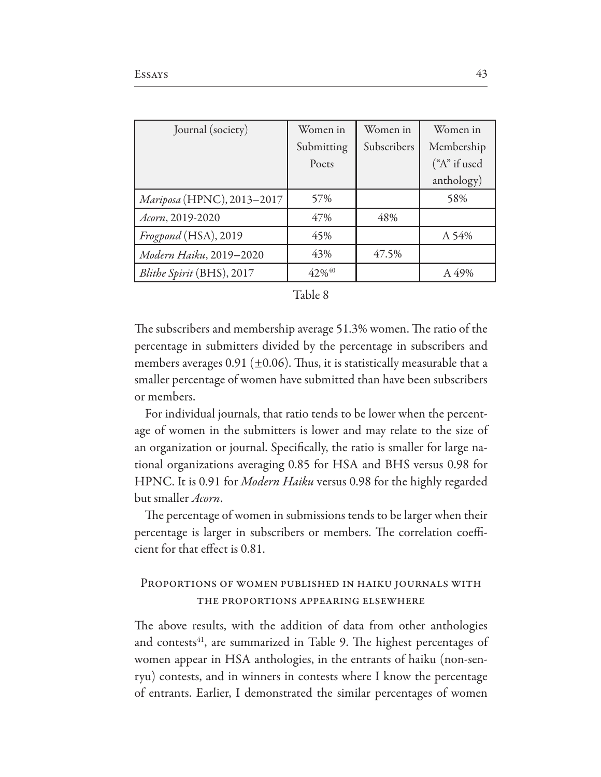| Journal (society)          | Women in   | Women in    | Women in     |
|----------------------------|------------|-------------|--------------|
|                            | Submitting | Subscribers | Membership   |
|                            | Poets      |             | ("A" if used |
|                            |            |             | anthology)   |
| Mariposa (HPNC), 2013-2017 | 57%        |             | 58%          |
| Acorn, 2019-2020           | 47%        | 48%         |              |
| Frogpond (HSA), 2019       | 45%        |             | A 54%        |
| Modern Haiku, 2019-2020    | 43%        | 47.5%       |              |
| Blithe Spirit (BHS), 2017  | 42%40      |             | A 49%        |

| .able | 8 |
|-------|---|
|       |   |

The subscribers and membership average 51.3% women. The ratio of the percentage in submitters divided by the percentage in subscribers and members averages 0.91 ( $\pm$ 0.06). Thus, it is statistically measurable that a smaller percentage of women have submitted than have been subscribers or members.

For individual journals, that ratio tends to be lower when the percentage of women in the submitters is lower and may relate to the size of an organization or journal. Specifically, the ratio is smaller for large national organizations averaging 0.85 for HSA and BHS versus 0.98 for HPNC. It is 0.91 for *Modern Haiku* versus 0.98 for the highly regarded but smaller *Acorn*.

The percentage of women in submissions tends to be larger when their percentage is larger in subscribers or members. The correlation coefficient for that effect is 0.81.

## PROPORTIONS OF WOMEN PUBLISHED IN HAIKU JOURNALS WITH THE PROPORTIONS APPEARING ELSEWHERE

The above results, with the addition of data from other anthologies and contests<sup>41</sup>, are summarized in Table 9. The highest percentages of women appear in HSA anthologies, in the entrants of haiku (non-senryu) contests, and in winners in contests where I know the percentage of entrants. Earlier, I demonstrated the similar percentages of women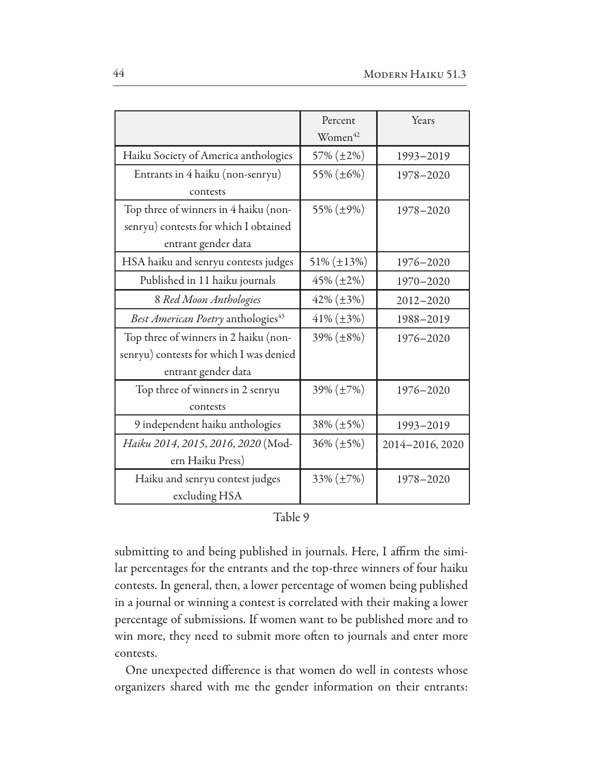|                                                | Percent<br>Women <sup>42</sup> | Years           |
|------------------------------------------------|--------------------------------|-----------------|
| Haiku Society of America anthologies           | $57\% (\pm 2\%)$               | 1993-2019       |
| Entrants in 4 haiku (non-senryu)               | 55% (±6%)                      | 1978-2020       |
| contests                                       |                                |                 |
| Top three of winners in 4 haiku (non-          | 55% (±9%)                      | 1978-2020       |
| senryu) contests for which I obtained          |                                |                 |
| entrant gender data                            |                                |                 |
| HSA haiku and senryu contests judges           | $51\% (\pm 13\%)$              | 1976-2020       |
| Published in 11 haiku journals                 | $45\%$ ( $\pm 2\%$ )           | 1970-2020       |
| 8 Red Moon Anthologies                         | $42\% (\pm 3\%)$               | 2012-2020       |
| Best American Poetry anthologies <sup>43</sup> | $41\% (\pm 3\%)$               | 1988-2019       |
| Top three of winners in 2 haiku (non-          | $39\% (\pm 8\%)$               | 1976-2020       |
| senryu) contests for which I was denied        |                                |                 |
| entrant gender data                            |                                |                 |
| Top three of winners in 2 senryu               | $39\% (\pm 7\%)$               | 1976-2020       |
| contests                                       |                                |                 |
| 9 independent haiku anthologies                | $38\% (\pm 5\%)$               | 1993-2019       |
| Haiku 2014, 2015, 2016, 2020 (Mod-             | $36\% (\pm 5\%)$               | 2014-2016, 2020 |
| ern Haiku Press)                               |                                |                 |
| Haiku and senryu contest judges                | $33\% (\pm 7\%)$               | 1978-2020       |
| excluding HSA                                  |                                |                 |

|      |  | Ω |
|------|--|---|
| abie |  |   |
|      |  |   |

submitting to and being published in journals. Here, I affirm the similar percentages for the entrants and the top-three winners of four haiku contests. In general, then, a lower percentage of women being published in a journal or winning a contest is correlated with their making a lower percentage of submissions. If women want to be published more and to win more, they need to submit more often to journals and enter more contests.

One unexpected difference is that women do well in contests whose organizers shared with me the gender information on their entrants: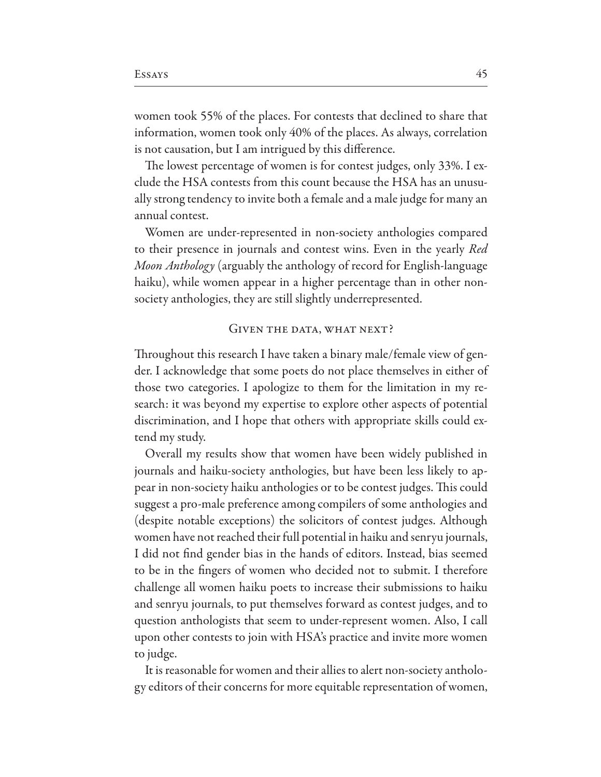women took 55% of the places. For contests that declined to share that information, women took only 40% of the places. As always, correlation is not causation, but I am intrigued by this difference.

The lowest percentage of women is for contest judges, only 33%. I exclude the HSA contests from this count because the HSA has an unusually strong tendency to invite both a female and a male judge for many an annual contest.

Women are under-represented in non-society anthologies compared to their presence in journals and contest wins. Even in the yearly Red *Moon Anthology* (arguably the anthology of record for English-language haiku), while women appear in a higher percentage than in other nonsociety anthologies, they are still slightly underrepresented.

#### GIVEN THE DATA, WHAT NEXT?

Throughout this research I have taken a binary male/female view of gender. I acknowledge that some poets do not place themselves in either of those two categories. I apologize to them for the limitation in my research: it was beyond my expertise to explore other aspects of potential discrimination, and I hope that others with appropriate skills could extend my study.

Overall my results show that women have been widely published in journals and haiku-society anthologies, but have been less likely to appear in non-society haiku anthologies or to be contest judges. This could suggest a pro-male preference among compilers of some anthologies and (despite notable exceptions) the solicitors of contest judges. Although women have not reached their full potential in haiku and senryu journals, I did not find gender bias in the hands of editors. Instead, bias seemed to be in the fingers of women who decided not to submit. I therefore challenge all women haiku poets to increase their submissions to haiku and senryu journals, to put themselves forward as contest judges, and to question anthologists that seem to under-represent women. Also, I call upon other contests to join with HSA's practice and invite more women to judge.

It is reasonable for women and their allies to alert non-society anthology editors of their concerns for more equitable representation of women,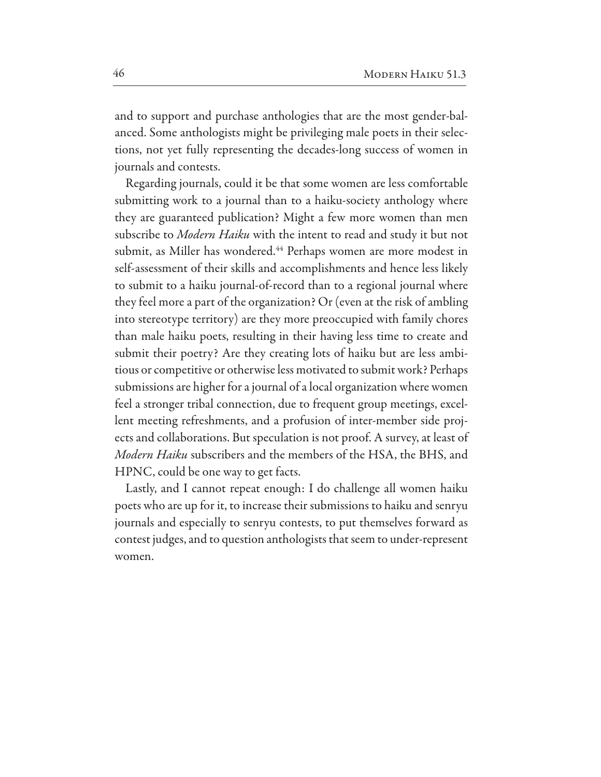and to support and purchase anthologies that are the most gender-balanced. Some anthologists might be privileging male poets in their selections, not yet fully representing the decades-long success of women in journals and contests.

Regarding journals, could it be that some women are less comfortable submitting work to a journal than to a haiku-society anthology where they are guaranteed publication? Might a few more women than men subscribe to *Modern Haiku* with the intent to read and study it but not submit, as Miller has wondered.<sup>44</sup> Perhaps women are more modest in self-assessment of their skills and accomplishments and hence less likely to submit to a haiku journal-of-record than to a regional journal where they feel more a part of the organization? Or (even at the risk of ambling into stereotype territory) are they more preoccupied with family chores than male haiku poets, resulting in their having less time to create and submit their poetry? Are they creating lots of haiku but are less ambitious or competitive or otherwise less motivated to submit work? Perhaps submissions are higher for a journal of a local organization where women feel a stronger tribal connection, due to frequent group meetings, excellent meeting refreshments, and a profusion of inter-member side projects and collaborations. But speculation is not proof. A survey, at least of *Modern Haiku* subscribers and the members of the HSA, the BHS, and HPNC, could be one way to get facts.

Lastly, and I cannot repeat enough: I do challenge all women haiku poets who are up for it, to increase their submissions to haiku and senryu journals and especially to senryu contests, to put themselves forward as contest judges, and to question anthologists that seem to under-represent women.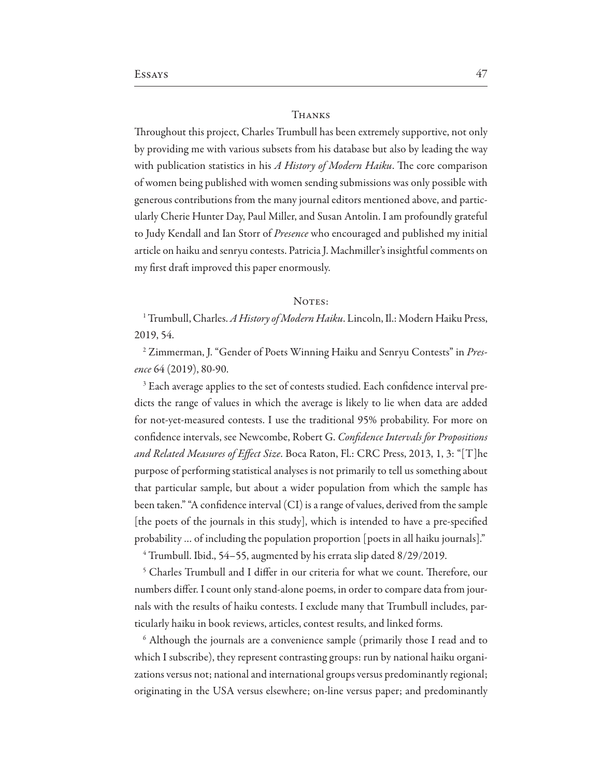#### **THANKS**

Throughout this project, Charles Trumbull has been extremely supportive, not only by providing me with various subsets from his database but also by leading the way with publication statistics in his A History of Modern Haiku. The core comparison of women being published with women sending submissions was only possible with generous contributions from the many journal editors mentioned above, and particularly Cherie Hunter Day, Paul Miller, and Susan Antolin. I am profoundly grateful to Judy Kendall and Ian Storr of Presence who encouraged and published my initial article on haiku and senryu contests. Patricia J. Machmiller's insightful comments on my first draft improved this paper enormously.

#### NOTES:

<sup>1</sup> Trumbull, Charles. A History of Modern Haiku. Lincoln, Il.: Modern Haiku Press, 2019, 54.

<sup>2</sup> Zimmerman, J. "Gender of Poets Winning Haiku and Senryu Contests" in Presence 64 (2019), 80-90.

<sup>3</sup> Each average applies to the set of contests studied. Each confidence interval predicts the range of values in which the average is likely to lie when data are added for not-yet-measured contests. I use the traditional 95% probability. For more on confidence intervals, see Newcombe, Robert G. Confidence Intervals for Propositions and Related Measures of Effect Size. Boca Raton, Fl.: CRC Press, 2013, 1, 3: "[T]he purpose of performing statistical analyses is not primarily to tell us something about that particular sample, but about a wider population from which the sample has been taken." "A confidence interval (CI) is a range of values, derived from the sample [the poets of the journals in this study], which is intended to have a pre-specified probability ... of including the population proportion [poets in all haiku journals]."

 $4$  Trumbull. Ibid., 54–55, augmented by his errata slip dated  $8/29/2019$ .

<sup>5</sup> Charles Trumbull and I differ in our criteria for what we count. Therefore, our numbers differ. I count only stand-alone poems, in order to compare data from journals with the results of haiku contests. I exclude many that Trumbull includes, particularly haiku in book reviews, articles, contest results, and linked forms.

<sup>6</sup> Although the journals are a convenience sample (primarily those I read and to which I subscribe), they represent contrasting groups: run by national haiku organizations versus not; national and international groups versus predominantly regional; originating in the USA versus elsewhere; on-line versus paper; and predominantly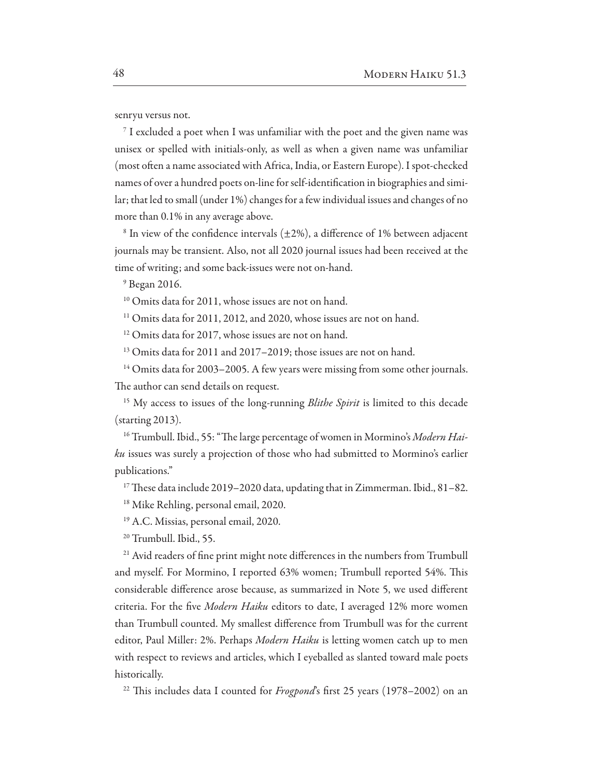senryu versus not.

<sup>7</sup> I excluded a poet when I was unfamiliar with the poet and the given name was unisex or spelled with initials-only, as well as when a given name was unfamiliar (most often a name associated with Africa, India, or Eastern Europe). I spot-checked names of over a hundred poets on-line for self-identification in biographies and similar; that led to small (under 1%) changes for a few individual issues and changes of no more than 0.1% in any average above.

<sup>8</sup> In view of the confidence intervals  $(\pm 2\%)$ , a difference of 1% between adjacent journals may be transient. Also, not all 2020 journal issues had been received at the time of writing; and some back-issues were not on-hand.

 $9$  Began 2016.

<sup>10</sup> Omits data for 2011, whose issues are not on hand.

<sup>11</sup> Omits data for 2011, 2012, and 2020, whose issues are not on hand.

<sup>12</sup> Omits data for 2017, whose issues are not on hand.

<sup>13</sup> Omits data for 2011 and 2017–2019; those issues are not on hand.

<sup>14</sup> Omits data for 2003–2005. A few years were missing from some other journals. The author can send details on request.

<sup>15</sup> My access to issues of the long-running *Blithe Spirit* is limited to this decade (starting 2013).

<sup>16</sup> Trumbull. Ibid., 55: "The large percentage of women in Mormino's Modern Haiku issues was surely a projection of those who had submitted to Mormino's earlier publications."

 $17$  These data include 2019–2020 data, updating that in Zimmerman. Ibid., 81–82.

<sup>18</sup> Mike Rehling, personal email, 2020.

<sup>19</sup> A.C. Missias, personal email, 2020.

<sup>20</sup> Trumbull. Ibid., 55.

<sup>21</sup> Avid readers of fine print might note differences in the numbers from Trumbull and myself. For Mormino, I reported 63% women; Trumbull reported 54%. This considerable difference arose because, as summarized in Note 5, we used different criteria. For the five Modern Haiku editors to date, I averaged 12% more women than Trumbull counted. My smallest difference from Trumbull was for the current editor, Paul Miller: 2%. Perhaps Modern Haiku is letting women catch up to men with respect to reviews and articles, which I eyeballed as slanted toward male poets historically.

<sup>22</sup> This includes data I counted for *Frogpond*'s first 25 years (1978–2002) on an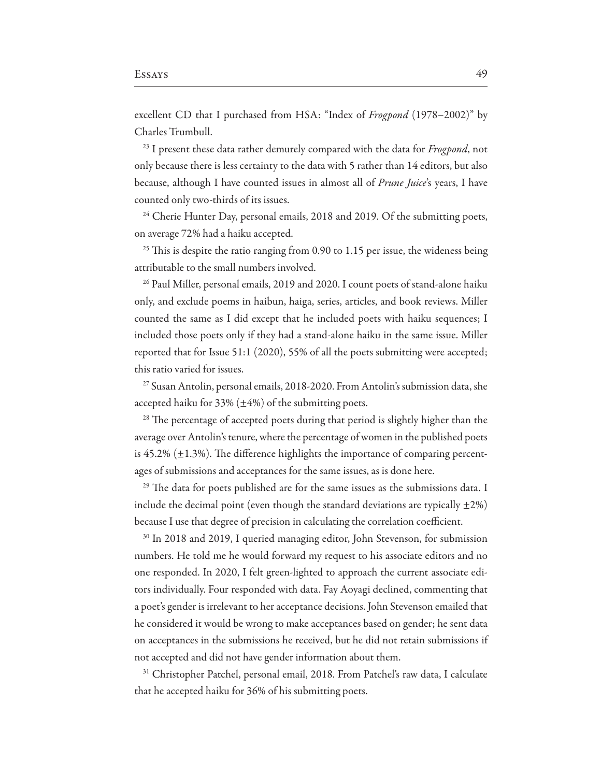excellent CD that I purchased from HSA: "Index of Frogpond (1978–2002)" by Charles Trumbull.

<sup>23</sup> I present these data rather demurely compared with the data for Frogpond, not only because there is less certainty to the data with 5 rather than 14 editors, but also because, although I have counted issues in almost all of Prune Juice's years, I have counted only two-thirds of its issues.

<sup>24</sup> Cherie Hunter Day, personal emails, 2018 and 2019. Of the submitting poets, on average 72% had a haiku accepted.

<sup>25</sup> This is despite the ratio ranging from 0.90 to 1.15 per issue, the wideness being attributable to the small numbers involved.

<sup>26</sup> Paul Miller, personal emails, 2019 and 2020. I count poets of stand-alone haiku only, and exclude poems in haibun, haiga, series, articles, and book reviews. Miller counted the same as I did except that he included poets with haiku sequences; I included those poets only if they had a stand-alone haiku in the same issue. Miller reported that for Issue 51:1 (2020), 55% of all the poets submitting were accepted; this ratio varied for issues.

<sup>27</sup> Susan Antolin, personal emails, 2018-2020. From Antolin's submission data, she accepted haiku for 33%  $(\pm 4\%)$  of the submitting poets.

<sup>28</sup> The percentage of accepted poets during that period is slightly higher than the average over Antolin's tenure, where the percentage of women in the published poets is 45.2%  $(\pm 1.3)$ %. The difference highlights the importance of comparing percentages of submissions and acceptances for the same issues, as is done here.

<sup>29</sup> The data for poets published are for the same issues as the submissions data. I include the decimal point (even though the standard deviations are typically  $\pm 2\%$ ) because I use that degree of precision in calculating the correlation coefficient.

<sup>30</sup> In 2018 and 2019, I queried managing editor, John Stevenson, for submission numbers. He told me he would forward my request to his associate editors and no one responded. In 2020, I felt green-lighted to approach the current associate editors individually. Four responded with data. Fay Aoyagi declined, commenting that a poet's gender is irrelevant to her acceptance decisions. John Stevenson emailed that he considered it would be wrong to make acceptances based on gender; he sent data on acceptances in the submissions he received, but he did not retain submissions if not accepted and did not have gender information about them.

<sup>31</sup> Christopher Patchel, personal email, 2018. From Patchel's raw data, I calculate that he accepted haiku for 36% of his submitting poets.